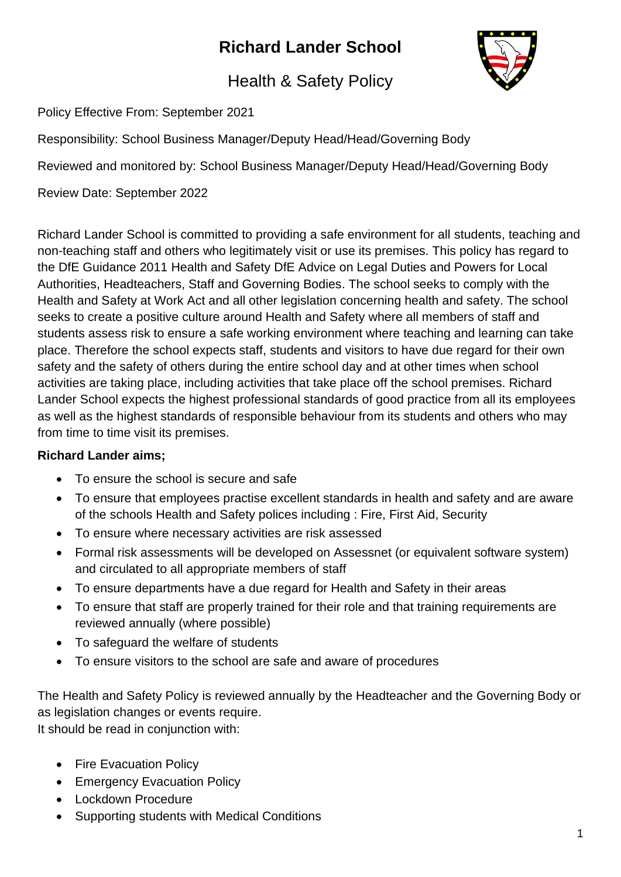# **Richard Lander School**



## Health & Safety Policy

Policy Effective From: September 2021

Responsibility: School Business Manager/Deputy Head/Head/Governing Body

Reviewed and monitored by: School Business Manager/Deputy Head/Head/Governing Body

Review Date: September 2022

Richard Lander School is committed to providing a safe environment for all students, teaching and non-teaching staff and others who legitimately visit or use its premises. This policy has regard to the DfE Guidance 2011 Health and Safety DfE Advice on Legal Duties and Powers for Local Authorities, Headteachers, Staff and Governing Bodies. The school seeks to comply with the Health and Safety at Work Act and all other legislation concerning health and safety. The school seeks to create a positive culture around Health and Safety where all members of staff and students assess risk to ensure a safe working environment where teaching and learning can take place. Therefore the school expects staff, students and visitors to have due regard for their own safety and the safety of others during the entire school day and at other times when school activities are taking place, including activities that take place off the school premises. Richard Lander School expects the highest professional standards of good practice from all its employees as well as the highest standards of responsible behaviour from its students and others who may from time to time visit its premises.

#### **Richard Lander aims;**

- To ensure the school is secure and safe
- To ensure that employees practise excellent standards in health and safety and are aware of the schools Health and Safety polices including : Fire, First Aid, Security
- To ensure where necessary activities are risk assessed
- Formal risk assessments will be developed on Assessnet (or equivalent software system) and circulated to all appropriate members of staff
- To ensure departments have a due regard for Health and Safety in their areas
- To ensure that staff are properly trained for their role and that training requirements are reviewed annually (where possible)
- To safeguard the welfare of students
- To ensure visitors to the school are safe and aware of procedures

The Health and Safety Policy is reviewed annually by the Headteacher and the Governing Body or as legislation changes or events require. It should be read in conjunction with:

- Fire Evacuation Policy
- Emergency Evacuation Policy
- Lockdown Procedure
- Supporting students with Medical Conditions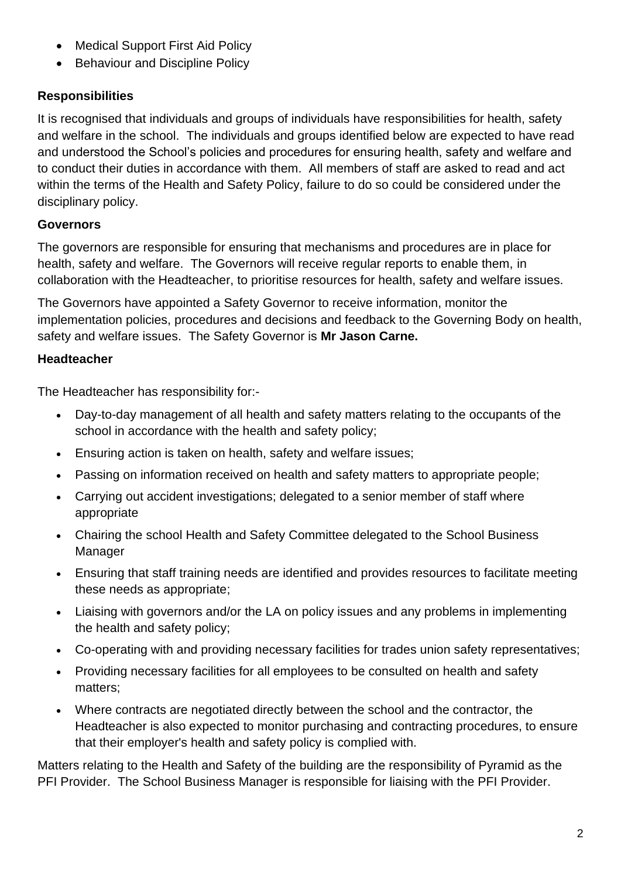- Medical Support First Aid Policy
- Behaviour and Discipline Policy

#### **Responsibilities**

It is recognised that individuals and groups of individuals have responsibilities for health, safety and welfare in the school. The individuals and groups identified below are expected to have read and understood the School's policies and procedures for ensuring health, safety and welfare and to conduct their duties in accordance with them. All members of staff are asked to read and act within the terms of the Health and Safety Policy, failure to do so could be considered under the disciplinary policy.

#### **Governors**

The governors are responsible for ensuring that mechanisms and procedures are in place for health, safety and welfare. The Governors will receive regular reports to enable them, in collaboration with the Headteacher, to prioritise resources for health, safety and welfare issues.

The Governors have appointed a Safety Governor to receive information, monitor the implementation policies, procedures and decisions and feedback to the Governing Body on health, safety and welfare issues. The Safety Governor is **Mr Jason Carne.** 

#### **Headteacher**

The Headteacher has responsibility for:-

- Day-to-day management of all health and safety matters relating to the occupants of the school in accordance with the health and safety policy;
- Ensuring action is taken on health, safety and welfare issues;
- Passing on information received on health and safety matters to appropriate people;
- Carrying out accident investigations; delegated to a senior member of staff where appropriate
- Chairing the school Health and Safety Committee delegated to the School Business Manager
- Ensuring that staff training needs are identified and provides resources to facilitate meeting these needs as appropriate;
- Liaising with governors and/or the LA on policy issues and any problems in implementing the health and safety policy;
- Co-operating with and providing necessary facilities for trades union safety representatives;
- Providing necessary facilities for all employees to be consulted on health and safety matters;
- Where contracts are negotiated directly between the school and the contractor, the Headteacher is also expected to monitor purchasing and contracting procedures, to ensure that their employer's health and safety policy is complied with.

Matters relating to the Health and Safety of the building are the responsibility of Pyramid as the PFI Provider. The School Business Manager is responsible for liaising with the PFI Provider.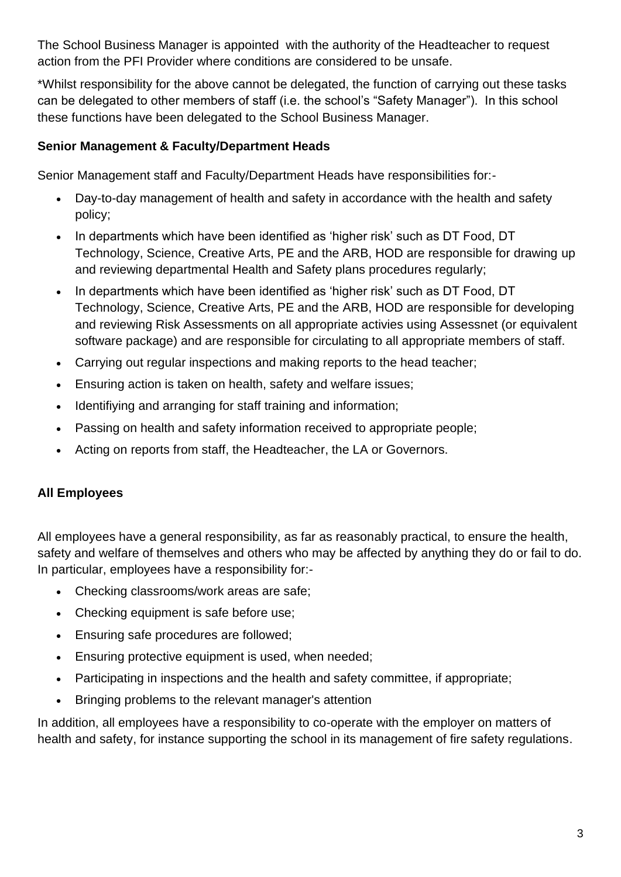The School Business Manager is appointed with the authority of the Headteacher to request action from the PFI Provider where conditions are considered to be unsafe.

\*Whilst responsibility for the above cannot be delegated, the function of carrying out these tasks can be delegated to other members of staff (i.e. the school's "Safety Manager"). In this school these functions have been delegated to the School Business Manager.

#### **Senior Management & Faculty/Department Heads**

Senior Management staff and Faculty/Department Heads have responsibilities for:-

- Day-to-day management of health and safety in accordance with the health and safety policy;
- In departments which have been identified as 'higher risk' such as DT Food, DT Technology, Science, Creative Arts, PE and the ARB, HOD are responsible for drawing up and reviewing departmental Health and Safety plans procedures regularly;
- In departments which have been identified as 'higher risk' such as DT Food, DT Technology, Science, Creative Arts, PE and the ARB, HOD are responsible for developing and reviewing Risk Assessments on all appropriate activies using Assessnet (or equivalent software package) and are responsible for circulating to all appropriate members of staff.
- Carrying out regular inspections and making reports to the head teacher;
- Ensuring action is taken on health, safety and welfare issues;
- Identifiying and arranging for staff training and information;
- Passing on health and safety information received to appropriate people;
- Acting on reports from staff, the Headteacher, the LA or Governors.

#### **All Employees**

All employees have a general responsibility, as far as reasonably practical, to ensure the health, safety and welfare of themselves and others who may be affected by anything they do or fail to do. In particular, employees have a responsibility for:-

- Checking classrooms/work areas are safe;
- Checking equipment is safe before use:
- Ensuring safe procedures are followed;
- Ensuring protective equipment is used, when needed;
- Participating in inspections and the health and safety committee, if appropriate;
- Bringing problems to the relevant manager's attention

In addition, all employees have a responsibility to co-operate with the employer on matters of health and safety, for instance supporting the school in its management of fire safety regulations.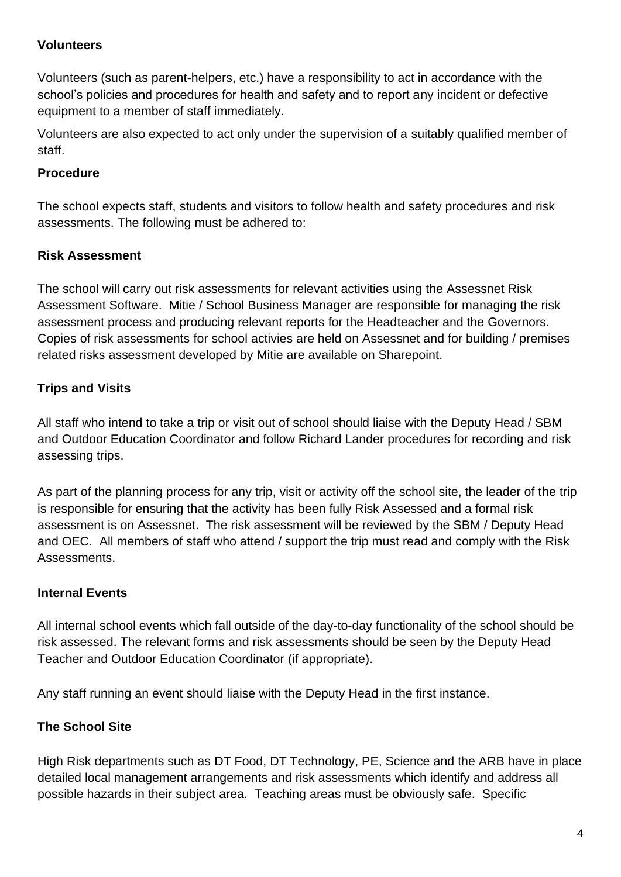#### **Volunteers**

Volunteers (such as parent-helpers, etc.) have a responsibility to act in accordance with the school's policies and procedures for health and safety and to report any incident or defective equipment to a member of staff immediately.

Volunteers are also expected to act only under the supervision of a suitably qualified member of staff.

#### **Procedure**

The school expects staff, students and visitors to follow health and safety procedures and risk assessments. The following must be adhered to:

#### **Risk Assessment**

The school will carry out risk assessments for relevant activities using the Assessnet Risk Assessment Software. Mitie / School Business Manager are responsible for managing the risk assessment process and producing relevant reports for the Headteacher and the Governors. Copies of risk assessments for school activies are held on Assessnet and for building / premises related risks assessment developed by Mitie are available on Sharepoint.

#### **Trips and Visits**

All staff who intend to take a trip or visit out of school should liaise with the Deputy Head / SBM and Outdoor Education Coordinator and follow Richard Lander procedures for recording and risk assessing trips.

As part of the planning process for any trip, visit or activity off the school site, the leader of the trip is responsible for ensuring that the activity has been fully Risk Assessed and a formal risk assessment is on Assessnet. The risk assessment will be reviewed by the SBM / Deputy Head and OEC. All members of staff who attend / support the trip must read and comply with the Risk Assessments.

#### **Internal Events**

All internal school events which fall outside of the day-to-day functionality of the school should be risk assessed. The relevant forms and risk assessments should be seen by the Deputy Head Teacher and Outdoor Education Coordinator (if appropriate).

Any staff running an event should liaise with the Deputy Head in the first instance.

#### **The School Site**

High Risk departments such as DT Food, DT Technology, PE, Science and the ARB have in place detailed local management arrangements and risk assessments which identify and address all possible hazards in their subject area. Teaching areas must be obviously safe. Specific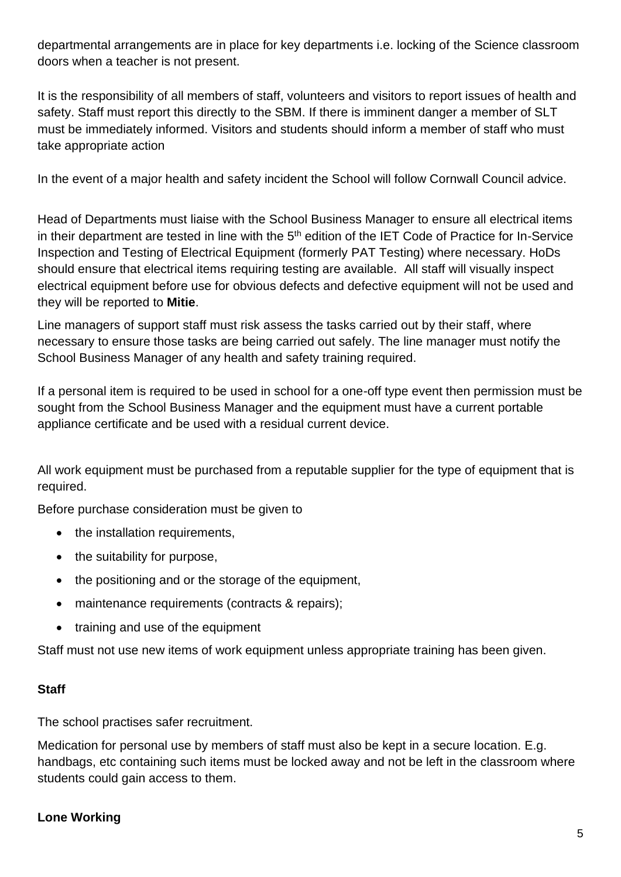departmental arrangements are in place for key departments i.e. locking of the Science classroom doors when a teacher is not present.

It is the responsibility of all members of staff, volunteers and visitors to report issues of health and safety. Staff must report this directly to the SBM. If there is imminent danger a member of SLT must be immediately informed. Visitors and students should inform a member of staff who must take appropriate action

In the event of a major health and safety incident the School will follow Cornwall Council advice.

Head of Departments must liaise with the School Business Manager to ensure all electrical items in their department are tested in line with the 5<sup>th</sup> edition of the IET Code of Practice for In-Service Inspection and Testing of Electrical Equipment (formerly PAT Testing) where necessary. HoDs should ensure that electrical items requiring testing are available. All staff will visually inspect electrical equipment before use for obvious defects and defective equipment will not be used and they will be reported to **Mitie**.

Line managers of support staff must risk assess the tasks carried out by their staff, where necessary to ensure those tasks are being carried out safely. The line manager must notify the School Business Manager of any health and safety training required.

If a personal item is required to be used in school for a one-off type event then permission must be sought from the School Business Manager and the equipment must have a current portable appliance certificate and be used with a residual current device.

All work equipment must be purchased from a reputable supplier for the type of equipment that is required.

Before purchase consideration must be given to

- the installation requirements,
- the suitability for purpose,
- the positioning and or the storage of the equipment,
- maintenance requirements (contracts & repairs);
- training and use of the equipment

Staff must not use new items of work equipment unless appropriate training has been given.

#### **Staff**

The school practises safer recruitment.

Medication for personal use by members of staff must also be kept in a secure location. E.g. handbags, etc containing such items must be locked away and not be left in the classroom where students could gain access to them.

#### **Lone Working**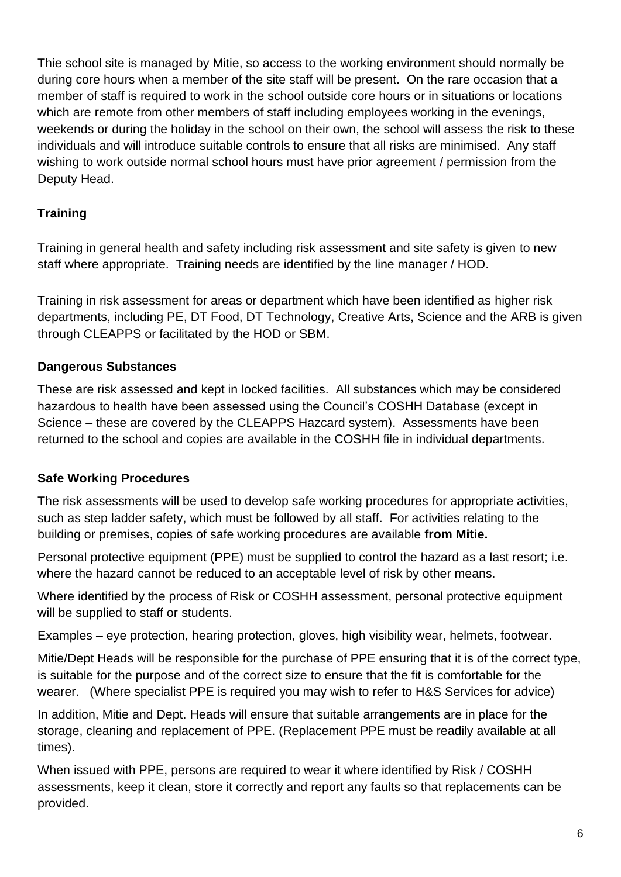Thie school site is managed by Mitie, so access to the working environment should normally be during core hours when a member of the site staff will be present. On the rare occasion that a member of staff is required to work in the school outside core hours or in situations or locations which are remote from other members of staff including employees working in the evenings, weekends or during the holiday in the school on their own, the school will assess the risk to these individuals and will introduce suitable controls to ensure that all risks are minimised. Any staff wishing to work outside normal school hours must have prior agreement / permission from the Deputy Head.

## **Training**

Training in general health and safety including risk assessment and site safety is given to new staff where appropriate. Training needs are identified by the line manager / HOD.

Training in risk assessment for areas or department which have been identified as higher risk departments, including PE, DT Food, DT Technology, Creative Arts, Science and the ARB is given through CLEAPPS or facilitated by the HOD or SBM.

### **Dangerous Substances**

These are risk assessed and kept in locked facilities. All substances which may be considered hazardous to health have been assessed using the Council's COSHH Database (except in Science – these are covered by the CLEAPPS Hazcard system). Assessments have been returned to the school and copies are available in the COSHH file in individual departments.

#### **Safe Working Procedures**

The risk assessments will be used to develop safe working procedures for appropriate activities, such as step ladder safety, which must be followed by all staff. For activities relating to the building or premises, copies of safe working procedures are available **from Mitie.** 

Personal protective equipment (PPE) must be supplied to control the hazard as a last resort; i.e. where the hazard cannot be reduced to an acceptable level of risk by other means.

Where identified by the process of Risk or COSHH assessment, personal protective equipment will be supplied to staff or students.

Examples – eye protection, hearing protection, gloves, high visibility wear, helmets, footwear.

Mitie/Dept Heads will be responsible for the purchase of PPE ensuring that it is of the correct type, is suitable for the purpose and of the correct size to ensure that the fit is comfortable for the wearer. (Where specialist PPE is required you may wish to refer to H&S Services for advice)

In addition, Mitie and Dept. Heads will ensure that suitable arrangements are in place for the storage, cleaning and replacement of PPE. (Replacement PPE must be readily available at all times).

When issued with PPE, persons are required to wear it where identified by Risk / COSHH assessments, keep it clean, store it correctly and report any faults so that replacements can be provided.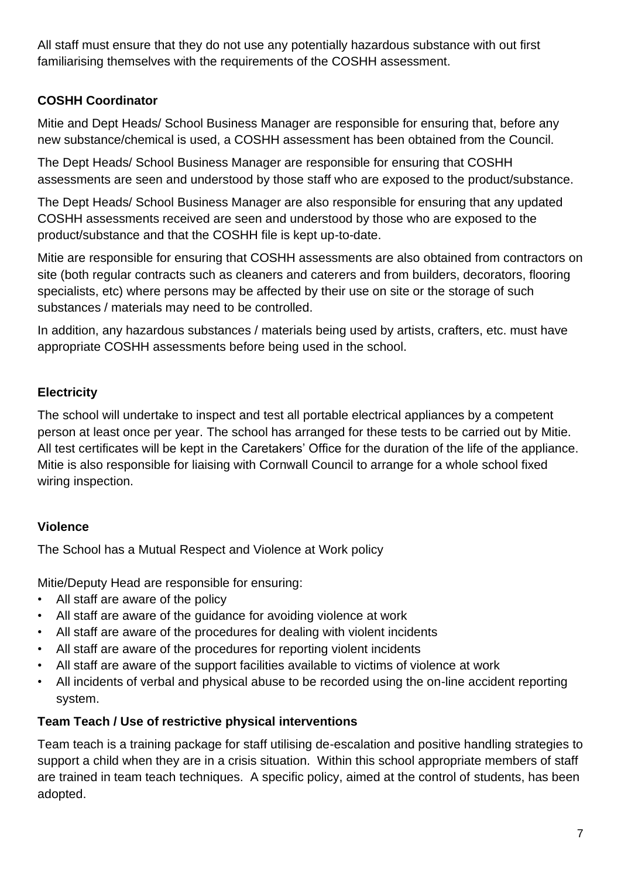All staff must ensure that they do not use any potentially hazardous substance with out first familiarising themselves with the requirements of the COSHH assessment.

## **COSHH Coordinator**

Mitie and Dept Heads/ School Business Manager are responsible for ensuring that, before any new substance/chemical is used, a COSHH assessment has been obtained from the Council.

The Dept Heads/ School Business Manager are responsible for ensuring that COSHH assessments are seen and understood by those staff who are exposed to the product/substance.

The Dept Heads/ School Business Manager are also responsible for ensuring that any updated COSHH assessments received are seen and understood by those who are exposed to the product/substance and that the COSHH file is kept up-to-date.

Mitie are responsible for ensuring that COSHH assessments are also obtained from contractors on site (both regular contracts such as cleaners and caterers and from builders, decorators, flooring specialists, etc) where persons may be affected by their use on site or the storage of such substances / materials may need to be controlled.

In addition, any hazardous substances / materials being used by artists, crafters, etc. must have appropriate COSHH assessments before being used in the school.

## **Electricity**

The school will undertake to inspect and test all portable electrical appliances by a competent person at least once per year. The school has arranged for these tests to be carried out by Mitie. All test certificates will be kept in the Caretakers' Office for the duration of the life of the appliance. Mitie is also responsible for liaising with Cornwall Council to arrange for a whole school fixed wiring inspection.

## **Violence**

The School has a Mutual Respect and Violence at Work policy

Mitie/Deputy Head are responsible for ensuring:

- All staff are aware of the policy
- All staff are aware of the guidance for avoiding violence at work
- All staff are aware of the procedures for dealing with violent incidents
- All staff are aware of the procedures for reporting violent incidents
- All staff are aware of the support facilities available to victims of violence at work
- All incidents of verbal and physical abuse to be recorded using the on-line accident reporting system.

#### **Team Teach / Use of restrictive physical interventions**

Team teach is a training package for staff utilising de-escalation and positive handling strategies to support a child when they are in a crisis situation. Within this school appropriate members of staff are trained in team teach techniques. A specific policy, aimed at the control of students, has been adopted.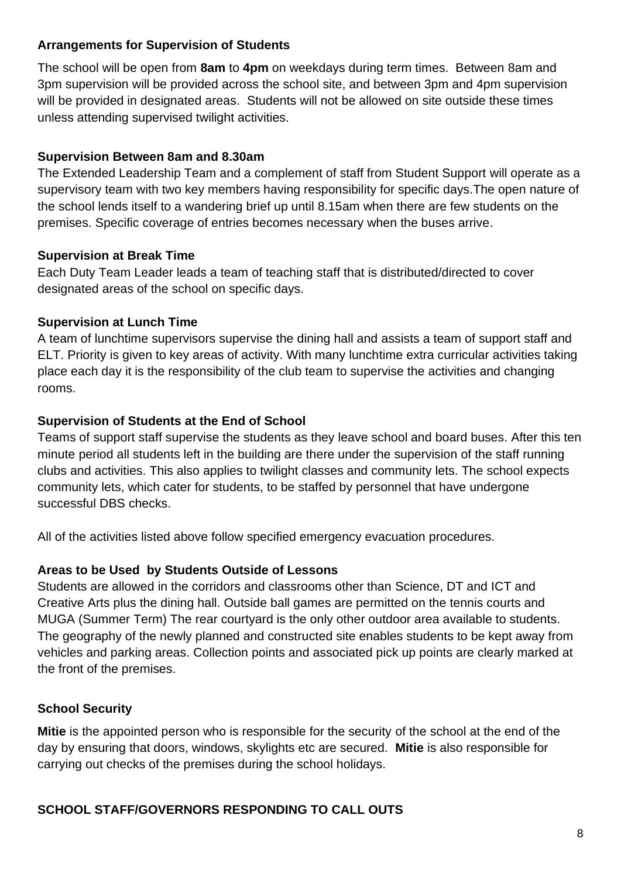#### **Arrangements for Supervision of Students**

The school will be open from **8am** to **4pm** on weekdays during term times. Between 8am and 3pm supervision will be provided across the school site, and between 3pm and 4pm supervision will be provided in designated areas. Students will not be allowed on site outside these times unless attending supervised twilight activities.

#### **Supervision Between 8am and 8.30am**

The Extended Leadership Team and a complement of staff from Student Support will operate as a supervisory team with two key members having responsibility for specific days.The open nature of the school lends itself to a wandering brief up until 8.15am when there are few students on the premises. Specific coverage of entries becomes necessary when the buses arrive.

#### **Supervision at Break Time**

Each Duty Team Leader leads a team of teaching staff that is distributed/directed to cover designated areas of the school on specific days.

#### **Supervision at Lunch Time**

A team of lunchtime supervisors supervise the dining hall and assists a team of support staff and ELT. Priority is given to key areas of activity. With many lunchtime extra curricular activities taking place each day it is the responsibility of the club team to supervise the activities and changing rooms.

#### **Supervision of Students at the End of School**

Teams of support staff supervise the students as they leave school and board buses. After this ten minute period all students left in the building are there under the supervision of the staff running clubs and activities. This also applies to twilight classes and community lets. The school expects community lets, which cater for students, to be staffed by personnel that have undergone successful DBS checks.

All of the activities listed above follow specified emergency evacuation procedures.

#### **Areas to be Used by Students Outside of Lessons**

Students are allowed in the corridors and classrooms other than Science, DT and ICT and Creative Arts plus the dining hall. Outside ball games are permitted on the tennis courts and MUGA (Summer Term) The rear courtyard is the only other outdoor area available to students. The geography of the newly planned and constructed site enables students to be kept away from vehicles and parking areas. Collection points and associated pick up points are clearly marked at the front of the premises.

#### **School Security**

**Mitie** is the appointed person who is responsible for the security of the school at the end of the day by ensuring that doors, windows, skylights etc are secured. **Mitie** is also responsible for carrying out checks of the premises during the school holidays.

#### **SCHOOL STAFF/GOVERNORS RESPONDING TO CALL OUTS**